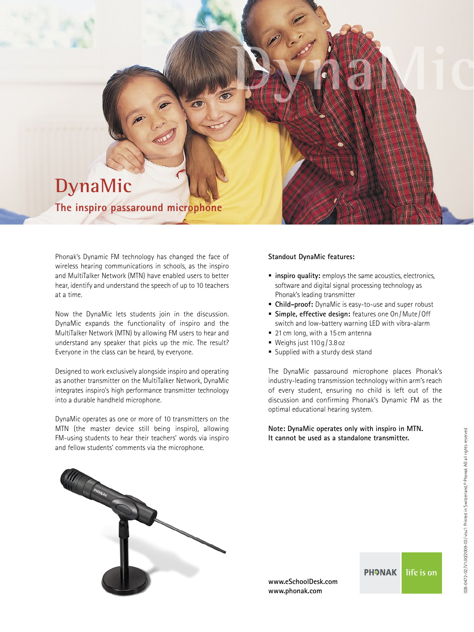## **DynaMic**

**The inspiro passaround microphone**

Phonak's Dynamic FM technology has changed the face of wireless hearing communications in schools, as the inspiro and MultiTalker Network (MTN) have enabled users to better hear, identify and understand the speech of up to 10 teachers at a time.

Now the DynaMic lets students join in the discussion. DynaMic expands the functionality of inspiro and the MultiTalker Network (MTN) by allowing FM users to hear and understand any speaker that picks up the mic. The result? Everyone in the class can be heard, by everyone.

Designed to work exclusively alongside inspiro and operating as another transmitter on the MultiTalker Network, DynaMic integrates inspiro's high performance transmitter technology into a durable handheld microphone.

DynaMic operates as one or more of 10 transmitters on the MTN (the master device still being inspiro), allowing FM-using students to hear their teachers' words via inspiro and fellow students' comments via the microphone.

## **Standout DynaMic features:**

**inspiro quality:** employs the same acoustics, electronics, software and digital signal processing technology as Phonak's leading transmitter

**Dynamics** 

- **Child-proof:** DynaMic is easy-to-use and super robust
- **Simple, effective design:** features one On/Mute/Off switch and low-battery warning LED with vibra-alarm
- 21 cm long, with a 15 cm antenna
- Weighs just  $110q/3.8$  oz
- Supplied with a sturdy desk stand

The DynaMic passaround microphone places Phonak's industry-leading transmission technology within arm's reach of every student, ensuring no child is left out of the discussion and confirming Phonak's Dynamic FM as the optimal educational hearing system.

**Note: DynaMic operates only with inspiro in MTN. It cannot be used as a standalone transmitter.**



**www.eSchoolDesk.com www.phonak.com**